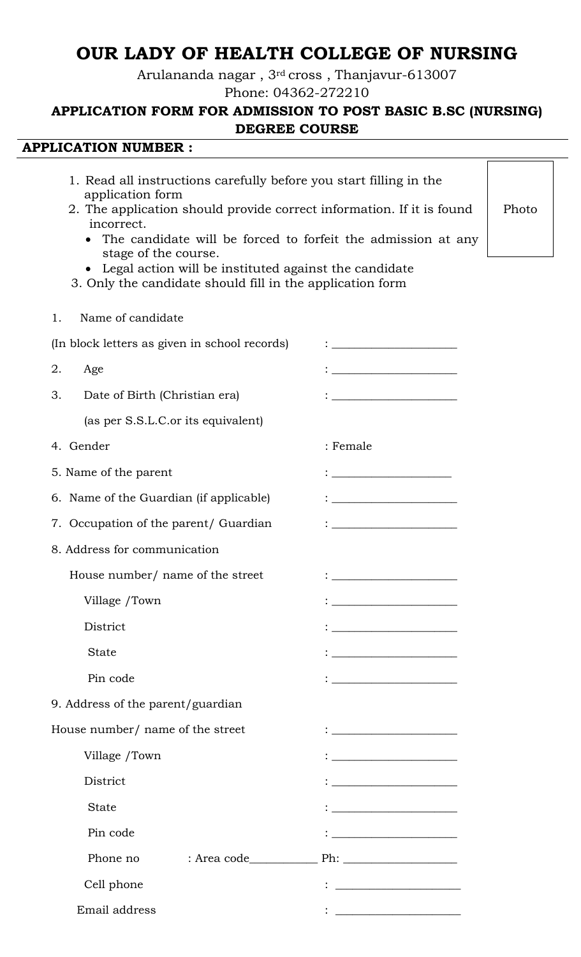# **OUR LADY OF HEALTH COLLEGE OF NURSING**

Arulananda nagar , 3rd cross , Thanjavur-613007

Phone: 04362-272210

## **APPLICATION FORM FOR ADMISSION TO POST BASIC B.SC (NURSING) DEGREE COURSE**

## **APPLICATION NUMBER :**

| 1. Read all instructions carefully before you start filling in the<br>application form<br>2. The application should provide correct information. If it is found<br>incorrect.<br>The candidate will be forced to forfeit the admission at any<br>stage of the course.<br>• Legal action will be instituted against the candidate<br>3. Only the candidate should fill in the application form |                                                                                                                      |  |  |  |  |  |
|-----------------------------------------------------------------------------------------------------------------------------------------------------------------------------------------------------------------------------------------------------------------------------------------------------------------------------------------------------------------------------------------------|----------------------------------------------------------------------------------------------------------------------|--|--|--|--|--|
| Name of candidate<br>1.                                                                                                                                                                                                                                                                                                                                                                       |                                                                                                                      |  |  |  |  |  |
| (In block letters as given in school records)                                                                                                                                                                                                                                                                                                                                                 |                                                                                                                      |  |  |  |  |  |
| 2.<br>Age                                                                                                                                                                                                                                                                                                                                                                                     | <u> 1989 - Johann Barn, mars eta bainar eta baina eta baina eta baina eta baina eta baina eta baina eta baina e</u>  |  |  |  |  |  |
| 3.<br>Date of Birth (Christian era)                                                                                                                                                                                                                                                                                                                                                           |                                                                                                                      |  |  |  |  |  |
| (as per S.S.L.C.or its equivalent)                                                                                                                                                                                                                                                                                                                                                            |                                                                                                                      |  |  |  |  |  |
| 4. Gender                                                                                                                                                                                                                                                                                                                                                                                     | : Female                                                                                                             |  |  |  |  |  |
| 5. Name of the parent                                                                                                                                                                                                                                                                                                                                                                         | <u> 1989 - Johann Stein, marwolaethau a bh</u>                                                                       |  |  |  |  |  |
| 6. Name of the Guardian (if applicable)                                                                                                                                                                                                                                                                                                                                                       | <u> 1980 - Johann Barnett, fransk politik (</u>                                                                      |  |  |  |  |  |
| 7. Occupation of the parent/ Guardian                                                                                                                                                                                                                                                                                                                                                         | <u> 1989 - Johann John Stoff, deutscher Stoffen und der Stoffen und der Stoffen und der Stoffen und der Stoffen</u>  |  |  |  |  |  |
| 8. Address for communication                                                                                                                                                                                                                                                                                                                                                                  |                                                                                                                      |  |  |  |  |  |
| House number/ name of the street                                                                                                                                                                                                                                                                                                                                                              |                                                                                                                      |  |  |  |  |  |
| Village /Town                                                                                                                                                                                                                                                                                                                                                                                 |                                                                                                                      |  |  |  |  |  |
| District                                                                                                                                                                                                                                                                                                                                                                                      |                                                                                                                      |  |  |  |  |  |
| <b>State</b>                                                                                                                                                                                                                                                                                                                                                                                  | <u> 1989 - Johann John Stone, mars eta bat eta bat eta bat eta bat eta bat eta bat eta bat eta bat eta bat eta b</u> |  |  |  |  |  |
| Pin code                                                                                                                                                                                                                                                                                                                                                                                      | <u> 1989 - Johann Barn, mars eta bainar e</u>                                                                        |  |  |  |  |  |
| 9. Address of the parent/guardian                                                                                                                                                                                                                                                                                                                                                             |                                                                                                                      |  |  |  |  |  |
| House number/ name of the street                                                                                                                                                                                                                                                                                                                                                              | <u> 1989 - Johann Barn, mars ar breithinn ar chomhair an t-</u>                                                      |  |  |  |  |  |
| Village /Town                                                                                                                                                                                                                                                                                                                                                                                 | <u> 1989 - Johann John Stoff, fransk politik (</u>                                                                   |  |  |  |  |  |
| District                                                                                                                                                                                                                                                                                                                                                                                      | <u> 1989 - Johann Barnett, fransk politik (</u>                                                                      |  |  |  |  |  |
| <b>State</b>                                                                                                                                                                                                                                                                                                                                                                                  |                                                                                                                      |  |  |  |  |  |
| Pin code                                                                                                                                                                                                                                                                                                                                                                                      | <u> 1980 - Johann Barbara, martxa amerikan p</u>                                                                     |  |  |  |  |  |
| Phone no                                                                                                                                                                                                                                                                                                                                                                                      |                                                                                                                      |  |  |  |  |  |
| Cell phone                                                                                                                                                                                                                                                                                                                                                                                    | <u> 1989 - Johann Barbara, martxa alemani</u> ar a                                                                   |  |  |  |  |  |
| Email address                                                                                                                                                                                                                                                                                                                                                                                 |                                                                                                                      |  |  |  |  |  |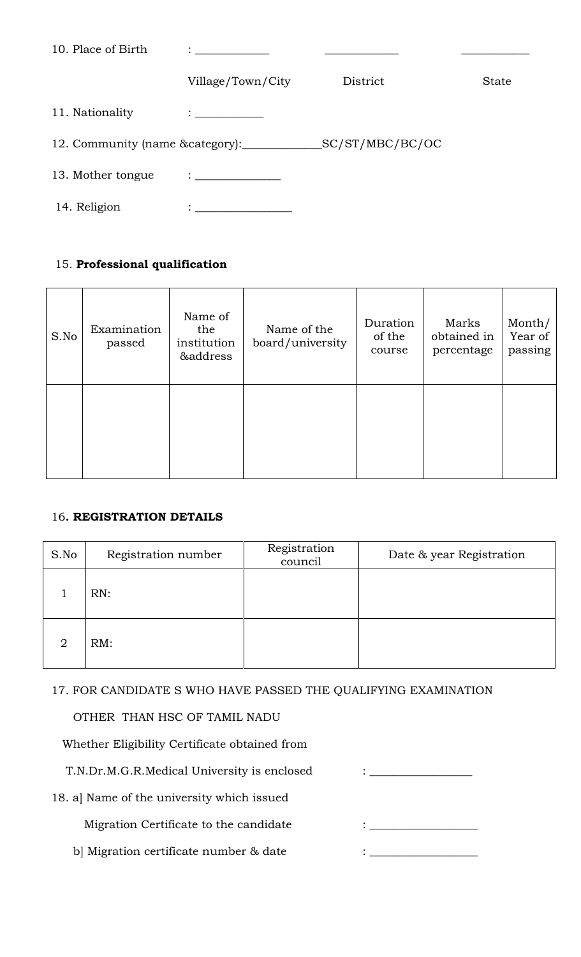| 10. Place of Birth | <u> 1990 - Jan Barbara III, prima postala prima prima prima prima prima prima prima prima prima prima prima prim</u> |                 |       |
|--------------------|----------------------------------------------------------------------------------------------------------------------|-----------------|-------|
|                    | Village/Town/City                                                                                                    | District        | State |
| 11. Nationality    | $\mathcal{I}=\underbrace{\qquad \qquad }$                                                                            |                 |       |
|                    | 12. Community (name & category):                                                                                     | SC/ST/MBC/BC/OC |       |
| 13. Mother tongue  | $\ddot{\cdot}$ . The contract of the contract of $\ddot{\cdot}$                                                      |                 |       |
| 14. Religion       |                                                                                                                      |                 |       |

## 15. **Professional qualification**

| S.No | Examination<br>passed | Name of<br>the<br>institution<br>&address | Name of the<br>board/university | Duration<br>of the<br>course | Marks<br>obtained in<br>percentage | Month/<br>Year of<br>passing |
|------|-----------------------|-------------------------------------------|---------------------------------|------------------------------|------------------------------------|------------------------------|
|      |                       |                                           |                                 |                              |                                    |                              |

## 16**. REGISTRATION DETAILS**

| S.No | Registration number | Registration<br>council | Date & year Registration |
|------|---------------------|-------------------------|--------------------------|
|      | RN:                 |                         |                          |
| 2    | RM:                 |                         |                          |

17. FOR CANDIDATE S WHO HAVE PASSED THE QUALIFYING EXAMINATION

OTHER THAN HSC OF TAMIL NADU

Whether Eligibility Certificate obtained from

T.N.Dr.M.G.R.Medical University is enclosed : \_\_\_\_\_\_\_\_\_\_\_\_\_\_\_\_\_\_\_\_\_\_\_\_\_\_\_\_\_\_\_\_\_\_

18. a] Name of the university which issued

Migration Certificate to the candidate  $\qquad \qquad : \underline{\qquad \qquad }$ 

b] Migration certificate number & date  $\qquad \qquad : \underline{\qquad \qquad }$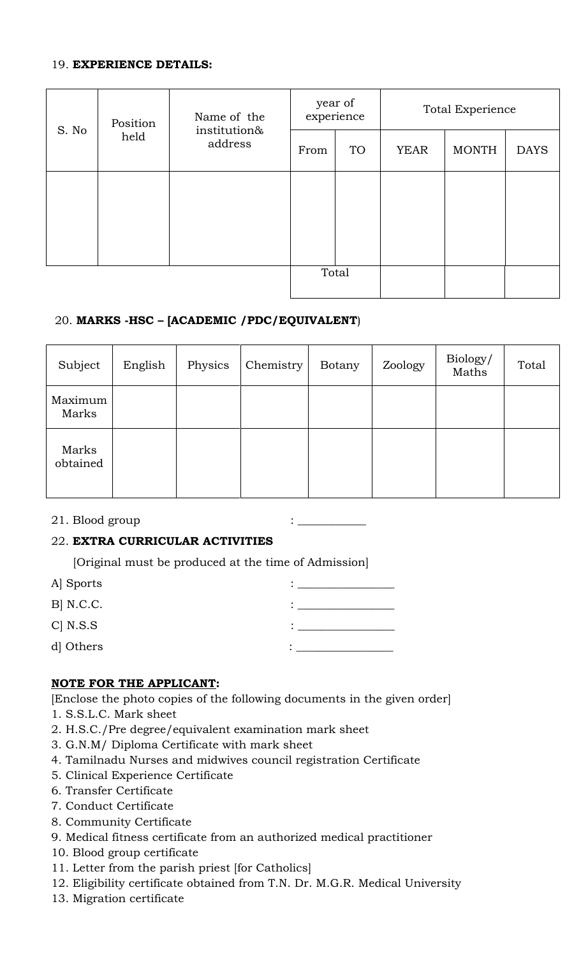#### 19. **EXPERIENCE DETAILS:**

|       | Position | Name of the             | year of<br>experience |           | Total Experience |              |             |  |
|-------|----------|-------------------------|-----------------------|-----------|------------------|--------------|-------------|--|
| S. No | held     | institution&<br>address |                       | <b>TO</b> | <b>YEAR</b>      | <b>MONTH</b> | <b>DAYS</b> |  |
|       |          |                         |                       |           |                  |              |             |  |
|       |          |                         |                       |           |                  |              |             |  |
|       |          |                         |                       |           |                  |              |             |  |
| Total |          |                         |                       |           |                  |              |             |  |

## 20. **MARKS -HSC – [ACADEMIC /PDC/EQUIVALENT**)

| Subject           | English | Physics | Chemistry | Botany | Zoology | Biology/<br>Maths | Total |
|-------------------|---------|---------|-----------|--------|---------|-------------------|-------|
| Maximum<br>Marks  |         |         |           |        |         |                   |       |
| Marks<br>obtained |         |         |           |        |         |                   |       |

## 21. Blood group  $:$   $\Box$

## 22. **EXTRA CURRICULAR ACTIVITIES**

[Original must be produced at the time of Admission]

| A Sports   |  |
|------------|--|
| $B$ N.C.C. |  |
| $C$ N.S.S  |  |
| d Others   |  |

## **NOTE FOR THE APPLICANT:**

[Enclose the photo copies of the following documents in the given order] 1. S.S.L.C. Mark sheet

- 2. H.S.C./Pre degree/equivalent examination mark sheet
- 3. G.N.M/ Diploma Certificate with mark sheet
- 4. Tamilnadu Nurses and midwives council registration Certificate
- 5. Clinical Experience Certificate
- 6. Transfer Certificate
- 7. Conduct Certificate
- 8. Community Certificate
- 9. Medical fitness certificate from an authorized medical practitioner
- 10. Blood group certificate
- 11. Letter from the parish priest [for Catholics]
- 12. Eligibility certificate obtained from T.N. Dr. M.G.R. Medical University
- 13. Migration certificate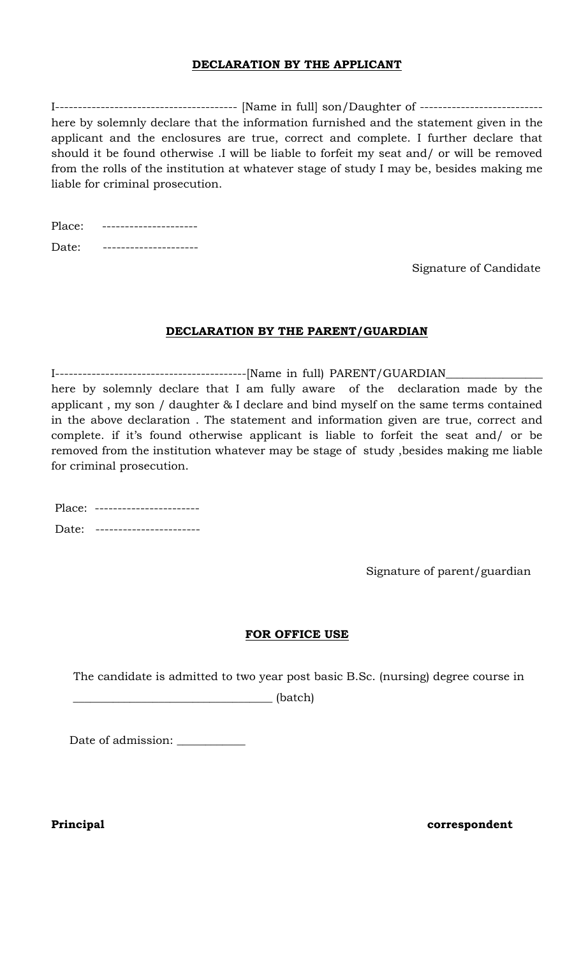## **DECLARATION BY THE APPLICANT**

I---------------------------------------- [Name in full] son/Daughter of -------------------------- here by solemnly declare that the information furnished and the statement given in the applicant and the enclosures are true, correct and complete. I further declare that should it be found otherwise .I will be liable to forfeit my seat and/ or will be removed from the rolls of the institution at whatever stage of study I may be, besides making me liable for criminal prosecution.

| Place: |  |
|--------|--|
| Date:  |  |

Signature of Candidate

## **DECLARATION BY THE PARENT/GUARDIAN**

I------------------------------------------[Name in full) PARENT/GUARDIAN\_\_\_\_\_\_\_\_\_\_\_\_\_\_\_\_\_

here by solemnly declare that I am fully aware of the declaration made by the applicant , my son / daughter & I declare and bind myself on the same terms contained in the above declaration . The statement and information given are true, correct and complete. if it's found otherwise applicant is liable to forfeit the seat and/ or be removed from the institution whatever may be stage of study ,besides making me liable for criminal prosecution.

| Place: ------------------- |
|----------------------------|
| Date: ------------         |

Signature of parent/guardian

## **FOR OFFICE USE**

The candidate is admitted to two year post basic B.Sc. (nursing) degree course in

\_\_\_\_\_\_\_\_\_\_\_\_\_\_\_\_\_\_\_\_\_\_\_\_\_\_\_\_\_\_\_\_\_\_\_ (batch)

Date of admission: \_\_\_\_\_\_\_\_\_\_\_\_

**Principal correspondent**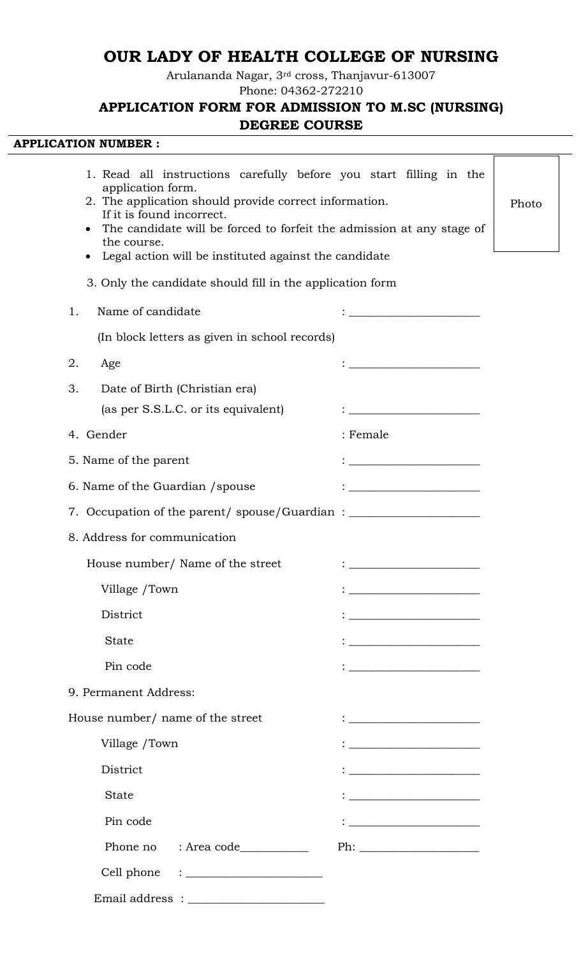## **OUR LADY OF HEALTH COLLEGE OF NURSING**

Arulananda Nagar, 3rd cross, Thanjavur-613007

Phone: 04362-272210

## **APPLICATION FORM FOR ADMISSION TO M.SC (NURSING) DEGREE COURSE**

 $\overline{\mathsf{I}}$ 

1

## **APPLICATION NUMBER :**

| 1. Read all instructions carefully before you start filling in the<br>application form.<br>2. The application should provide correct information.<br>If it is found incorrect.<br>The candidate will be forced to forfeit the admission at any stage of<br>the course.<br>Legal action will be instituted against the candidate |                                                                                                                       | Photo |
|---------------------------------------------------------------------------------------------------------------------------------------------------------------------------------------------------------------------------------------------------------------------------------------------------------------------------------|-----------------------------------------------------------------------------------------------------------------------|-------|
| 3. Only the candidate should fill in the application form                                                                                                                                                                                                                                                                       |                                                                                                                       |       |
| Name of candidate<br>1.                                                                                                                                                                                                                                                                                                         |                                                                                                                       |       |
| (In block letters as given in school records)                                                                                                                                                                                                                                                                                   | <u> 1989 - Johann Barnett, fransk politiker (</u>                                                                     |       |
| 2.<br>Age                                                                                                                                                                                                                                                                                                                       |                                                                                                                       |       |
|                                                                                                                                                                                                                                                                                                                                 |                                                                                                                       |       |
| 3.<br>Date of Birth (Christian era)<br>(as per S.S.L.C. or its equivalent)                                                                                                                                                                                                                                                      |                                                                                                                       |       |
| 4. Gender                                                                                                                                                                                                                                                                                                                       | : Female                                                                                                              |       |
| 5. Name of the parent                                                                                                                                                                                                                                                                                                           | <u> 1980 - Jan James James Barnett, martin de la populación de la propia de la propia de la propia de la propia d</u> |       |
| 6. Name of the Guardian / spouse                                                                                                                                                                                                                                                                                                | <u> 1980 - Johann Barbara, martxa amerikan p</u>                                                                      |       |
| 7. Occupation of the parent/spouse/Guardian: ___________________________________                                                                                                                                                                                                                                                |                                                                                                                       |       |
| 8. Address for communication                                                                                                                                                                                                                                                                                                    |                                                                                                                       |       |
|                                                                                                                                                                                                                                                                                                                                 |                                                                                                                       |       |
| House number/ Name of the street                                                                                                                                                                                                                                                                                                | <u> 1980 - Johann Barbara, martxa alemaniar a</u>                                                                     |       |
| Village /Town                                                                                                                                                                                                                                                                                                                   |                                                                                                                       |       |
| District                                                                                                                                                                                                                                                                                                                        | <u> 1989 - Johann Barnett, fransk politiker (</u>                                                                     |       |
| <b>State</b>                                                                                                                                                                                                                                                                                                                    | <u> 1980 - Johann Barn, fransk politik (</u>                                                                          |       |
| Pin code                                                                                                                                                                                                                                                                                                                        |                                                                                                                       |       |
| 9. Permanent Address:                                                                                                                                                                                                                                                                                                           |                                                                                                                       |       |
| House number/ name of the street                                                                                                                                                                                                                                                                                                |                                                                                                                       |       |
| Village /Town                                                                                                                                                                                                                                                                                                                   |                                                                                                                       |       |
| District                                                                                                                                                                                                                                                                                                                        | <u> 1989 - Johann Harry Barn, mars ar breist fan de Fryske kommunent fan de Fryske kommunent fan de Fryske kommun</u> |       |
| <b>State</b>                                                                                                                                                                                                                                                                                                                    | <u> 2008 - Andrea Andrew Maria (b. 19</u>                                                                             |       |
| Pin code                                                                                                                                                                                                                                                                                                                        |                                                                                                                       |       |
|                                                                                                                                                                                                                                                                                                                                 | $\text{Ph:}\_\_\_\_\_\_\_\_$                                                                                          |       |
| Cell phone<br>$\mathbf{1}_{\mathcal{D}}$ . The set of the set of the set of the set of the set of the set of the set of the set of the set of the set of the set of the set of the set of the set of the set of the set of the set of the set of the se                                                                         |                                                                                                                       |       |
| $\begin{minipage}{.4\linewidth} \textbf{Email address} : \textcolor{red}{\textbf{_________1}} \end{minipage}$                                                                                                                                                                                                                   |                                                                                                                       |       |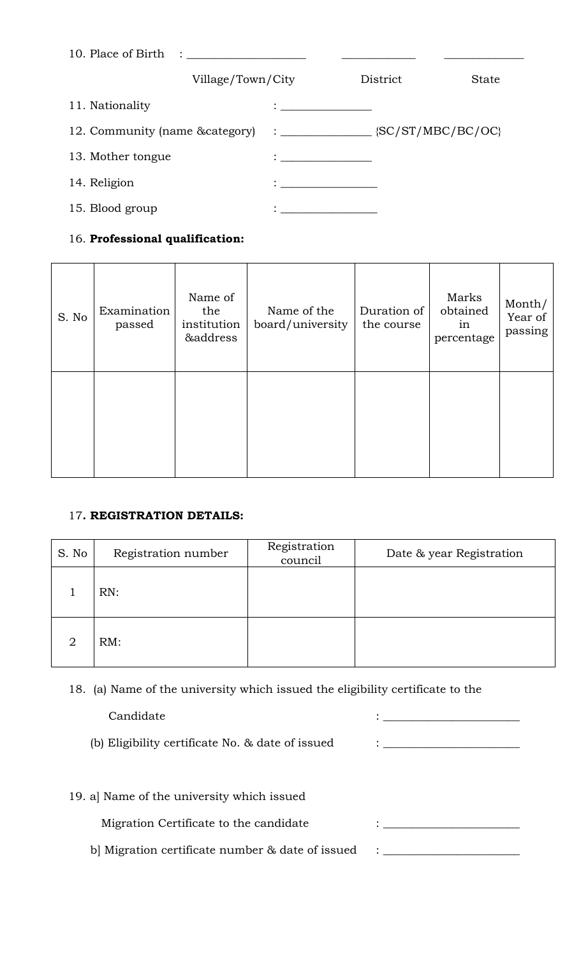|                                                                     | Village/Town/City                                                                                                                                                                                                                    | District                                                                                                                                                                                                                             | State |
|---------------------------------------------------------------------|--------------------------------------------------------------------------------------------------------------------------------------------------------------------------------------------------------------------------------------|--------------------------------------------------------------------------------------------------------------------------------------------------------------------------------------------------------------------------------------|-------|
| 11. Nationality                                                     | <u> 1986 - Johann Stein, mars et al. 1986 - Johann Stein, mars et al. 1986 - Johann Stein, mars et al. 1986 - Johann Stein, mars et al. 1986 - Johann Stein, mars et al. 1986 - Johann Stein, mars et al. 1986 - Johann Stein, m</u> |                                                                                                                                                                                                                                      |       |
| 12. Community (name &category) : ________________ {SC/ST/MBC/BC/OC} |                                                                                                                                                                                                                                      |                                                                                                                                                                                                                                      |       |
| 13. Mother tongue                                                   | $\mathcal{L} = \{ \mathcal{L} \in \mathcal{L} \mid \mathcal{L} \in \mathcal{L} \}$                                                                                                                                                   |                                                                                                                                                                                                                                      |       |
| 14. Religion                                                        | $\mathbf{1}$ , and $\mathbf{1}$ , and $\mathbf{1}$ , and $\mathbf{1}$ , and $\mathbf{1}$                                                                                                                                             |                                                                                                                                                                                                                                      |       |
| 15. Blood group                                                     |                                                                                                                                                                                                                                      | <u> 1980 - Johann John Harry Harry Harry Harry Harry Harry Harry Harry Harry Harry Harry Harry Harry Harry Harry Harry Harry Harry Harry Harry Harry Harry Harry Harry Harry Harry Harry Harry Harry Harry Harry Harry Harry Har</u> |       |

## 16. **Professional qualification:**

| S. No | Examination<br>passed | Name of<br>the<br>institution<br>&address | Name of the<br>board/university | Duration of<br>the course | Marks<br>obtained<br>in<br>percentage | Month/<br>Year of<br>passing |
|-------|-----------------------|-------------------------------------------|---------------------------------|---------------------------|---------------------------------------|------------------------------|
|       |                       |                                           |                                 |                           |                                       |                              |

## 17**. REGISTRATION DETAILS:**

| S. No          | Registration number | Registration<br>council | Date & year Registration |
|----------------|---------------------|-------------------------|--------------------------|
|                | RN:                 |                         |                          |
| $\overline{2}$ | RM:                 |                         |                          |

18. (a) Name of the university which issued the eligibility certificate to the

# $\begin{tabular}{c} \bf{C} and idate \\ \bf{C} \end{tabular}$

(b) Eligibility certificate No.  $\&$  date of issued  $\qquad \qquad : \qquad \qquad \qquad \qquad$ 

| 19. a] Name of the university which issued |  |
|--------------------------------------------|--|
|--------------------------------------------|--|

 ${\bf \textbf{Migration Certificate to the candidate}} \qquad \qquad \vdots \underline{\hspace{2cm}} \underline{\hspace{2cm}}$ 

b] Migration certificate number  $\&$  date of issued  $\quad$  : \_\_\_\_\_\_\_\_\_\_\_\_\_\_\_\_\_\_\_\_\_\_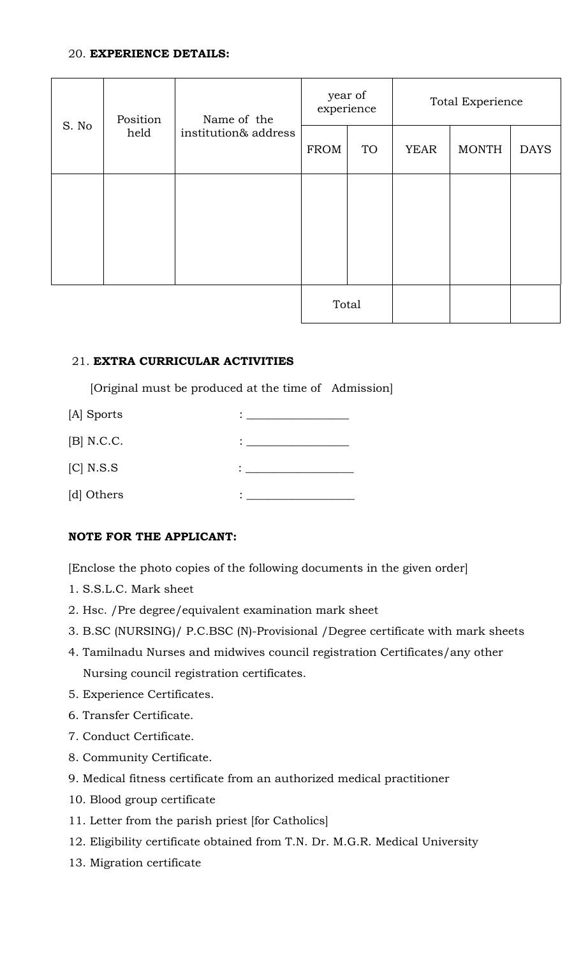#### 20. **EXPERIENCE DETAILS:**

| S. No | Position<br>held | Name of the<br>institution& address | year of<br>experience |           | <b>Total Experience</b> |              |             |
|-------|------------------|-------------------------------------|-----------------------|-----------|-------------------------|--------------|-------------|
|       |                  |                                     | FROM                  | <b>TO</b> | <b>YEAR</b>             | <b>MONTH</b> | <b>DAYS</b> |
|       |                  |                                     |                       |           |                         |              |             |
|       |                  |                                     |                       |           |                         |              |             |
|       |                  |                                     |                       |           |                         |              |             |
|       |                  |                                     | Total                 |           |                         |              |             |

#### 21. **EXTRA CURRICULAR ACTIVITIES**

[Original must be produced at the time of Admission]

| [A] Sports   |   |
|--------------|---|
| $[B]$ N.C.C. |   |
| $[C]$ N.S.S  |   |
| [d] Others   | ٠ |

## **NOTE FOR THE APPLICANT:**

[Enclose the photo copies of the following documents in the given order]

- 1. S.S.L.C. Mark sheet
- 2. Hsc. /Pre degree/equivalent examination mark sheet
- 3. B.SC (NURSING)/ P.C.BSC (N)-Provisional /Degree certificate with mark sheets
- 4. Tamilnadu Nurses and midwives council registration Certificates/any other Nursing council registration certificates.
- 5. Experience Certificates.
- 6. Transfer Certificate.
- 7. Conduct Certificate.
- 8. Community Certificate.
- 9. Medical fitness certificate from an authorized medical practitioner
- 10. Blood group certificate
- 11. Letter from the parish priest [for Catholics]
- 12. Eligibility certificate obtained from T.N. Dr. M.G.R. Medical University
- 13. Migration certificate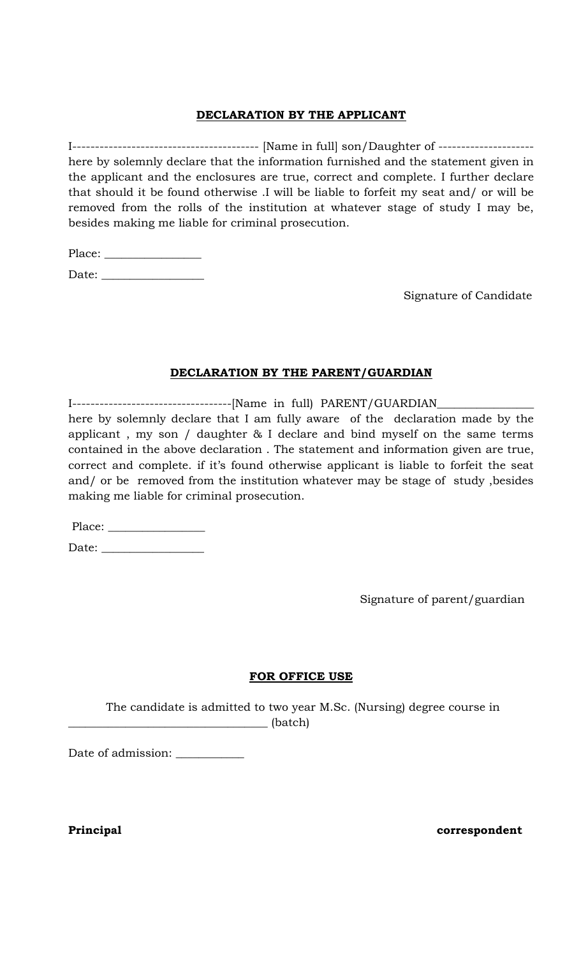## **DECLARATION BY THE APPLICANT**

I----------------------------------------- [Name in full] son/Daughter of -------------------- here by solemnly declare that the information furnished and the statement given in the applicant and the enclosures are true, correct and complete. I further declare that should it be found otherwise .I will be liable to forfeit my seat and/ or will be removed from the rolls of the institution at whatever stage of study I may be, besides making me liable for criminal prosecution.

Place: \_

Date: \_\_\_\_\_\_\_\_\_\_\_\_\_\_\_\_\_\_

Signature of Candidate

## **DECLARATION BY THE PARENT/GUARDIAN**

I-----------------------------------[Name in full) PARENT/GUARDIAN\_\_\_\_\_\_\_\_\_\_\_\_\_\_\_\_\_

here by solemnly declare that I am fully aware of the declaration made by the applicant , my son / daughter & I declare and bind myself on the same terms contained in the above declaration . The statement and information given are true, correct and complete. if it's found otherwise applicant is liable to forfeit the seat and/ or be removed from the institution whatever may be stage of study ,besides making me liable for criminal prosecution.

Place: \_\_\_\_\_\_\_\_\_\_\_\_\_\_\_\_\_

Date: \_\_\_\_\_\_\_\_\_\_\_\_\_\_\_\_\_\_

Signature of parent/guardian

## **FOR OFFICE USE**

The candidate is admitted to two year M.Sc. (Nursing) degree course in  $\Box$  (batch)

Date of admission: \_\_\_\_\_\_\_\_\_\_\_\_

**Principal correspondent**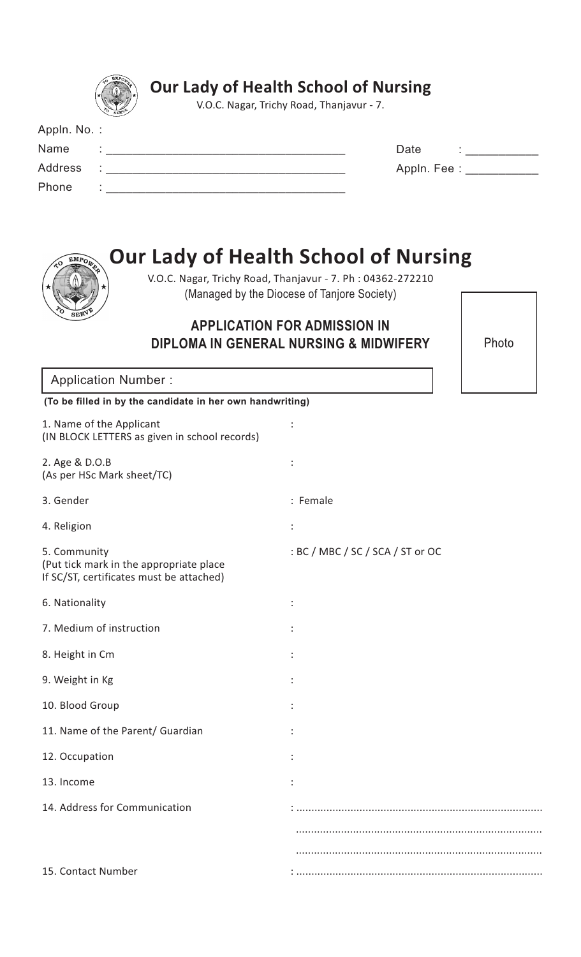|                                                                                                     | <b>Our Lady of Health School of Nursing</b><br>V.O.C. Nagar, Trichy Road, Thanjavur - 7.                                                                                                                                                                      |
|-----------------------------------------------------------------------------------------------------|---------------------------------------------------------------------------------------------------------------------------------------------------------------------------------------------------------------------------------------------------------------|
| Appln. No.:                                                                                         |                                                                                                                                                                                                                                                               |
| Name                                                                                                | Date<br>i<br>France <u>a component</u>                                                                                                                                                                                                                        |
| <b>Address</b><br><u> 1989 - Johann Barbara, martxa alemaniar arg</u>                               | Appln. Fee : ____________                                                                                                                                                                                                                                     |
| Phone                                                                                               |                                                                                                                                                                                                                                                               |
| EMPO <sub>W</sub>                                                                                   | <b>Our Lady of Health School of Nursing</b><br>V.O.C. Nagar, Trichy Road, Thanjavur - 7. Ph: 04362-272210<br>(Managed by the Diocese of Tanjore Society)<br><b>APPLICATION FOR ADMISSION IN</b><br>Photo<br><b>DIPLOMA IN GENERAL NURSING &amp; MIDWIFERY</b> |
| <b>Application Number:</b>                                                                          |                                                                                                                                                                                                                                                               |
| (To be filled in by the candidate in her own handwriting)                                           |                                                                                                                                                                                                                                                               |
| 1. Name of the Applicant<br>(IN BLOCK LETTERS as given in school records)                           |                                                                                                                                                                                                                                                               |
| 2. Age & D.O.B<br>(As per HSc Mark sheet/TC)                                                        |                                                                                                                                                                                                                                                               |
| 3. Gender                                                                                           | : Female                                                                                                                                                                                                                                                      |
| 4. Religion                                                                                         |                                                                                                                                                                                                                                                               |
| 5. Community<br>(Put tick mark in the appropriate place<br>If SC/ST, certificates must be attached) | : BC / MBC / SC / SCA / ST or OC                                                                                                                                                                                                                              |
| 6. Nationality                                                                                      |                                                                                                                                                                                                                                                               |
| 7. Medium of instruction                                                                            |                                                                                                                                                                                                                                                               |
| 8. Height in Cm                                                                                     |                                                                                                                                                                                                                                                               |
| 9. Weight in Kg                                                                                     |                                                                                                                                                                                                                                                               |
| 10. Blood Group                                                                                     |                                                                                                                                                                                                                                                               |
| 11. Name of the Parent/ Guardian                                                                    |                                                                                                                                                                                                                                                               |
| 12. Occupation                                                                                      |                                                                                                                                                                                                                                                               |
| 13. Income                                                                                          |                                                                                                                                                                                                                                                               |
| 14. Address for Communication                                                                       |                                                                                                                                                                                                                                                               |
|                                                                                                     |                                                                                                                                                                                                                                                               |
|                                                                                                     |                                                                                                                                                                                                                                                               |
| 15. Contact Number                                                                                  |                                                                                                                                                                                                                                                               |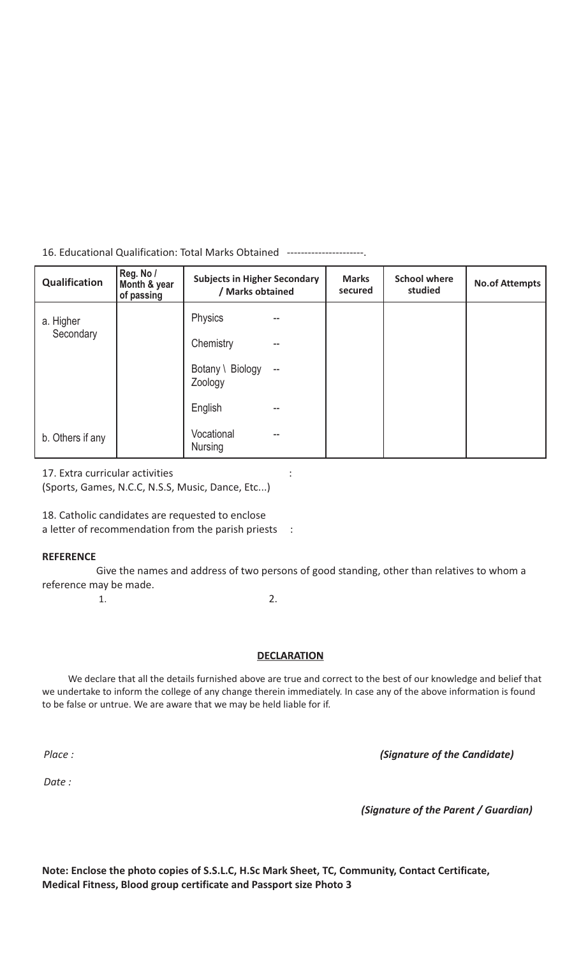#### 16. Educational Qualification: Total Marks Obtained ----------------------.

| Qualification    | Reg. No /<br>Month & year<br>of passing | <b>Subjects in Higher Secondary</b><br>/ Marks obtained |                          | <b>Marks</b><br>secured | <b>School where</b><br>studied | <b>No.of Attempts</b> |
|------------------|-----------------------------------------|---------------------------------------------------------|--------------------------|-------------------------|--------------------------------|-----------------------|
| a. Higher        |                                         | <b>Physics</b>                                          |                          |                         |                                |                       |
| Secondary        |                                         | Chemistry                                               | --                       |                         |                                |                       |
|                  |                                         | Botany \ Biology<br>Zoology                             | $\overline{\phantom{a}}$ |                         |                                |                       |
|                  |                                         | English                                                 | --                       |                         |                                |                       |
| b. Others if any |                                         | Vocational<br><b>Nursing</b>                            | --                       |                         |                                |                       |

17. Extra curricular activities :

(Sports, Games, N.C.C, N.S.S, Music, Dance, Etc...)

18. Catholic candidates are requested to enclose

a letter of recommendation from the parish priests :

#### **REFERENCE**

 Give the names and address of two persons of good standing, other than relatives to whom a reference may be made.

 $1.$  2.

#### **DECLARATION**

 We declare that all the details furnished above are true and correct to the best of our knowledge and belief that we undertake to inform the college of any change therein immediately. In case any of the above information is found to be false or untrue. We are aware that we may be held liable for if.

*Place :*

*(Signature of the Candidate)*

*Date :*

*(Signature of the Parent / Guardian)*

**Note: Enclose the photo copies of S.S.L.C, H.Sc Mark Sheet, TC, Community, Contact Certificate, Medical Fitness, Blood group certificate and Passport size Photo 3**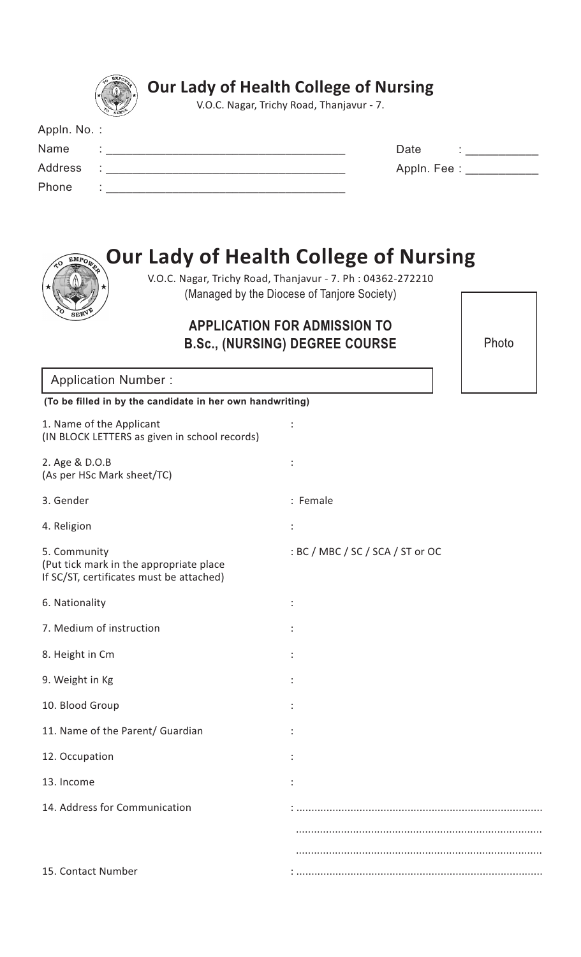|                                                                                                                                          | <b>Our Lady of Health College of Nursing</b><br>V.O.C. Nagar, Trichy Road, Thanjavur - 7.                                                                                                                                                          |
|------------------------------------------------------------------------------------------------------------------------------------------|----------------------------------------------------------------------------------------------------------------------------------------------------------------------------------------------------------------------------------------------------|
| Appln. No.:                                                                                                                              |                                                                                                                                                                                                                                                    |
| Name                                                                                                                                     | Date<br>the company of the company of the company of the company of the company of the company of the company of the company of the company of the company of the company of the company of the company of the company of the company              |
| <b>Address</b><br><u> 1989 - Johann Barn, mars ann an t-Amhain ann an t-Amhain an t-Amhain an t-Amhain an t-Amhain an t-Amhain an t-</u> | Appln. Fee : ____________                                                                                                                                                                                                                          |
| Phone<br><u> 1989 - Johann Barbara, margaret eta idazlearia (h. 1989).</u>                                                               |                                                                                                                                                                                                                                                    |
| EMPO <sub>W</sub>                                                                                                                        | <b>Our Lady of Health College of Nursing</b><br>V.O.C. Nagar, Trichy Road, Thanjavur - 7. Ph: 04362-272210<br>(Managed by the Diocese of Tanjore Society)<br><b>APPLICATION FOR ADMISSION TO</b><br>Photo<br><b>B.Sc., (NURSING) DEGREE COURSE</b> |
| <b>Application Number:</b>                                                                                                               |                                                                                                                                                                                                                                                    |
| (To be filled in by the candidate in her own handwriting)                                                                                |                                                                                                                                                                                                                                                    |
| 1. Name of the Applicant<br>(IN BLOCK LETTERS as given in school records)                                                                |                                                                                                                                                                                                                                                    |
| 2. Age & D.O.B<br>(As per HSc Mark sheet/TC)                                                                                             |                                                                                                                                                                                                                                                    |
| 3. Gender                                                                                                                                | : Female                                                                                                                                                                                                                                           |
| 4. Religion                                                                                                                              | :                                                                                                                                                                                                                                                  |
| 5. Community<br>(Put tick mark in the appropriate place<br>If SC/ST, certificates must be attached)                                      | : BC / MBC / SC / SCA / ST or OC                                                                                                                                                                                                                   |
| 6. Nationality                                                                                                                           |                                                                                                                                                                                                                                                    |
| 7. Medium of instruction                                                                                                                 |                                                                                                                                                                                                                                                    |
| 8. Height in Cm                                                                                                                          |                                                                                                                                                                                                                                                    |
| 9. Weight in Kg                                                                                                                          |                                                                                                                                                                                                                                                    |
| 10. Blood Group                                                                                                                          |                                                                                                                                                                                                                                                    |
| 11. Name of the Parent/ Guardian                                                                                                         |                                                                                                                                                                                                                                                    |
| 12. Occupation                                                                                                                           |                                                                                                                                                                                                                                                    |
| 13. Income                                                                                                                               |                                                                                                                                                                                                                                                    |
| 14. Address for Communication                                                                                                            |                                                                                                                                                                                                                                                    |
|                                                                                                                                          |                                                                                                                                                                                                                                                    |
|                                                                                                                                          |                                                                                                                                                                                                                                                    |
| 15. Contact Number                                                                                                                       |                                                                                                                                                                                                                                                    |